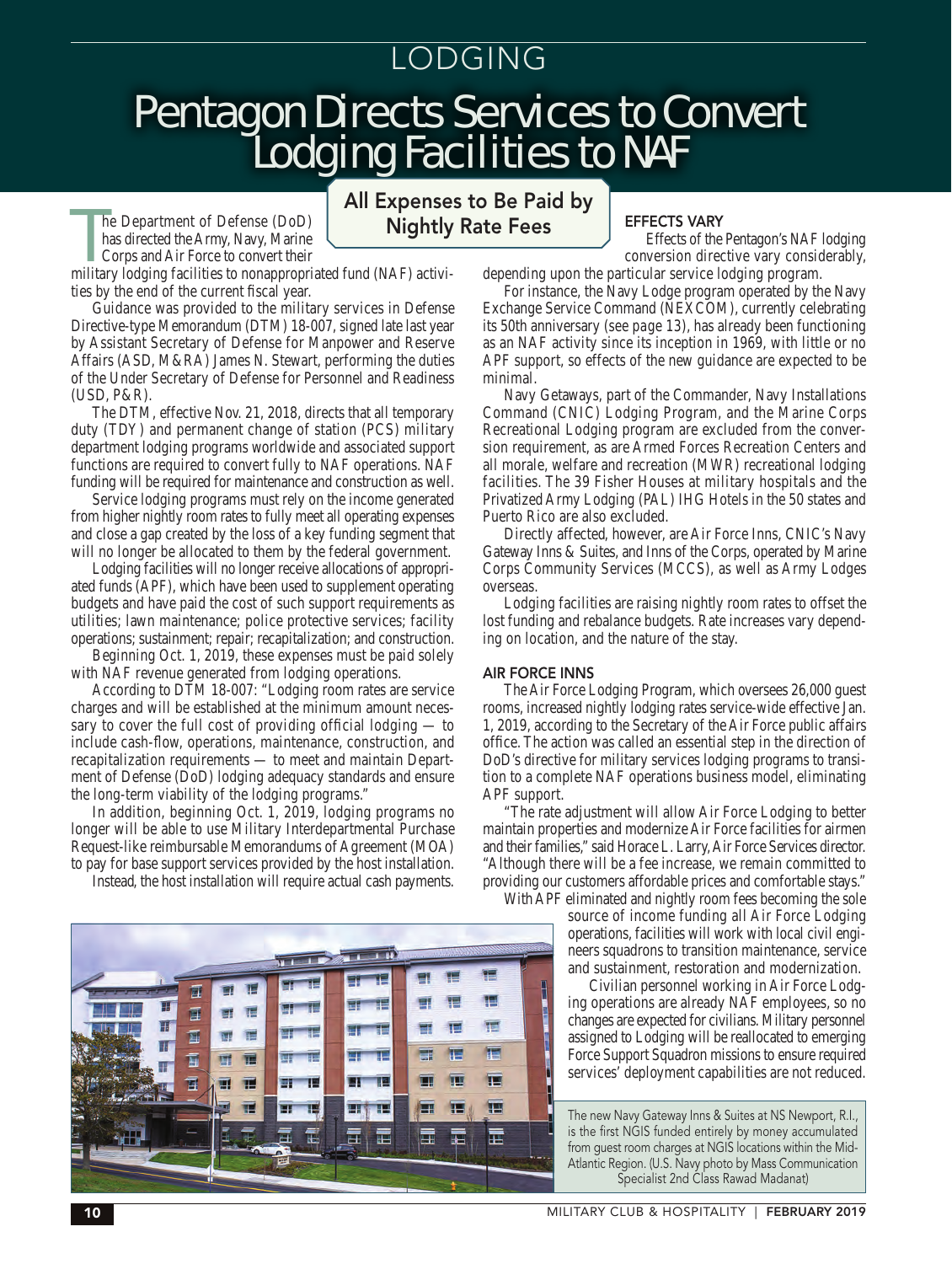# LODGING

# Pentagon Directs Services to Convert Lodging Facilities to NAF

The Department of Defense (DoD)<br>has directed the Army, Navy, Marine<br>Corps and Air Force to convert their<br>military lodging facilities to nonappropriated fund (NAF) activihe Department of Defense (DoD) has directed the Army, Navy, Marine Corps and Air Force to convert their

ties by the end of the current fiscal year.

Guidance was provided to the military services in Defense Directive-type Memorandum (DTM) 18-007, signed late last year by Assistant Secretary of Defense for Manpower and Reserve Affairs (ASD, M&RA) James N. Stewart, performing the duties of the Under Secretary of Defense for Personnel and Readiness (USD, P&R).

The DTM, effective Nov. 21, 2018, directs that all temporary duty (TDY) and permanent change of station (PCS) military department lodging programs worldwide and associated support functions are required to convert fully to NAF operations. NAF funding will be required for maintenance and construction as well.

Service lodging programs must rely on the income generated from higher nightly room rates to fully meet all operating expenses and close a gap created by the loss of a key funding segment that will no longer be allocated to them by the federal government.

Lodging facilities will no longer receive allocations of appropriated funds (APF), which have been used to supplement operating budgets and have paid the cost of such support requirements as utilities; lawn maintenance; police protective services; facility operations; sustainment; repair; recapitalization; and construction.

Beginning Oct. 1, 2019, these expenses must be paid solely with NAF revenue generated from lodging operations.

According to DTM 18-007: "Lodging room rates are service charges and will be established at the minimum amount necessary to cover the full cost of providing official lodging — to include cash-flow, operations, maintenance, construction, and recapitalization requirements — to meet and maintain Department of Defense (DoD) lodging adequacy standards and ensure the long-term viability of the lodging programs."

In addition, beginning Oct. 1, 2019, lodging programs no longer will be able to use Military Interdepartmental Purchase Request-like reimbursable Memorandums of Agreement (MOA) to pay for base support services provided by the host installation.

Instead, the host installation will require actual cash payments.



## All Expenses to Be Paid by Nightly Rate Fees

## EFFECTS VARY

Effects of the Pentagon's NAF lodging conversion directive vary considerably,

depending upon the particular service lodging program.

For instance, the Navy Lodge program operated by the Navy Exchange Service Command (NEXCOM), currently celebrating its 50th anniversary (*see page 13*), has already been functioning as an NAF activity since its inception in 1969, with little or no APF support, so effects of the new guidance are expected to be minimal.

Navy Getaways, part of the Commander, Navy Installations Command (CNIC) Lodging Program, and the Marine Corps Recreational Lodging program are excluded from the conversion requirement, as are Armed Forces Recreation Centers and all morale, welfare and recreation (MWR) recreational lodging facilities. The 39 Fisher Houses at military hospitals and the Privatized Army Lodging (PAL) IHG Hotels in the 50 states and Puerto Rico are also excluded.

Directly affected, however, are Air Force Inns, CNIC's Navy Gateway Inns & Suites, and Inns of the Corps, operated by Marine Corps Community Services (MCCS), as well as Army Lodges overseas.

Lodging facilities are raising nightly room rates to offset the lost funding and rebalance budgets. Rate increases vary depending on location, and the nature of the stay.

#### AIR FORCE INNS

The Air Force Lodging Program, which oversees 26,000 guest rooms, increased nightly lodging rates service-wide effective Jan. 1, 2019, according to the Secretary of the Air Force public affairs office. The action was called an essential step in the direction of DoD's directive for military services lodging programs to transition to a complete NAF operations business model, eliminating APF support.

"The rate adjustment will allow Air Force Lodging to better maintain properties and modernize Air Force facilities for airmen and their families," said Horace L. Larry, Air Force Services director. "Although there will be a fee increase, we remain committed to providing our customers affordable prices and comfortable stays."

With APF eliminated and nightly room fees becoming the sole source of income funding all Air Force Lodging operations, facilities will work with local civil engineers squadrons to transition maintenance, service and sustainment, restoration and modernization.

> Civilian personnel working in Air Force Lodging operations are already NAF employees, so no changes are expected for civilians. Military personnel assigned to Lodging will be reallocated to emerging Force Support Squadron missions to ensure required services' deployment capabilities are not reduced.

The new Navy Gateway Inns & Suites at NS Newport, R.I., is the first NGIS funded entirely by money accumulated from guest room charges at NGIS locations within the Mid-Atlantic Region. (U.S. Navy photo by Mass Communication Specialist 2nd Class Rawad Madanat)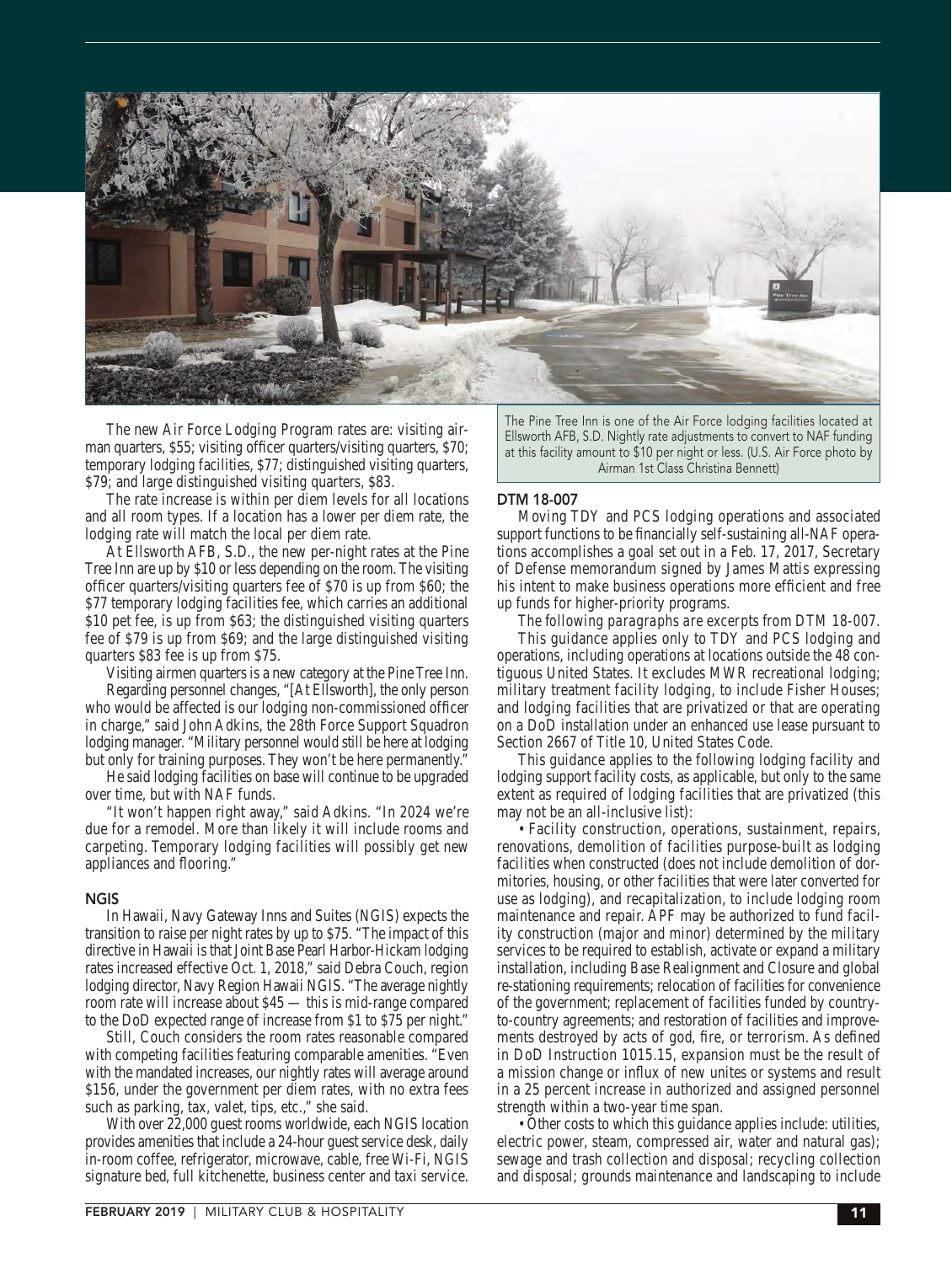

The new Air Force Lodging Program rates are: visiting airman quarters, \$55; visiting officer quarters/visiting quarters, \$70; temporary lodging facilities, \$77; distinguished visiting quarters, \$79; and large distinguished visiting quarters, \$83.

The rate increase is within per diem levels for all locations and all room types. If a location has a lower per diem rate, the lodging rate will match the local per diem rate.

At Ellsworth AFB, S.D., the new per-night rates at the Pine Tree Inn are up by \$10 or less depending on the room. The visiting officer quarters/visiting quarters fee of \$70 is up from \$60; the \$77 temporary lodging facilities fee, which carries an additional \$10 pet fee, is up from \$63; the distinguished visiting quarters fee of \$79 is up from \$69; and the large distinguished visiting quarters \$83 fee is up from \$75.

Visiting airmen quarters is a new category at the Pine Tree Inn. Regarding personnel changes, "[At Ellsworth], the only person who would be affected is our lodging non-commissioned officer in charge," said John Adkins, the 28th Force Support Squadron lodging manager. "Military personnel would still be here at lodging but only for training purposes. They won't be here permanently."

He said lodging facilities on base will continue to be upgraded over time, but with NAF funds.

"It won't happen right away," said Adkins. "In 2024 we're due for a remodel. More than likely it will include rooms and carpeting. Temporary lodging facilities will possibly get new appliances and flooring."

#### **NGIS**

In Hawaii, Navy Gateway Inns and Suites (NGIS) expects the transition to raise per night rates by up to \$75. "The impact of this directive in Hawaii is that Joint Base Pearl Harbor-Hickam lodging rates increased effective Oct. 1, 2018," said Debra Couch, region lodging director, Navy Region Hawaii NGIS. "The average nightly room rate will increase about \$45 — this is mid-range compared to the DoD expected range of increase from \$1 to \$75 per night."

Still, Couch considers the room rates reasonable compared with competing facilities featuring comparable amenities. "Even with the mandated increases, our nightly rates will average around \$156, under the government per diem rates, with no extra fees such as parking, tax, valet, tips, etc.," she said.

With over 22,000 guest rooms worldwide, each NGIS location provides amenities that include a 24-hour guest service desk, daily in-room coffee, refrigerator, microwave, cable, free Wi-Fi, NGIS signature bed, full kitchenette, business center and taxi service.

The Pine Tree Inn is one of the Air Force lodging facilities located at Ellsworth AFB, S.D. Nightly rate adjustments to convert to NAF funding at this facility amount to \$10 per night or less. (U.S. Air Force photo by Airman 1st Class Christina Bennett)

### DTM 18-007

Moving TDY and PCS lodging operations and associated support functions to be financially self-sustaining all-NAF operations accomplishes a goal set out in a Feb. 17, 2017, Secretary of Defense memorandum signed by James Mattis expressing his intent to make business operations more efficient and free up funds for higher-priority programs.

*The following paragraphs are excerpts from DTM 18-007.*

This guidance applies only to TDY and PCS lodging and operations, including operations at locations outside the 48 contiguous United States. It excludes MWR recreational lodging; military treatment facility lodging, to include Fisher Houses; and lodging facilities that are privatized or that are operating on a DoD installation under an enhanced use lease pursuant to Section 2667 of Title 10, United States Code.

This guidance applies to the following lodging facility and lodging support facility costs, as applicable, but only to the same extent as required of lodging facilities that are privatized (this may not be an all-inclusive list):

• Facility construction, operations, sustainment, repairs, renovations, demolition of facilities purpose-built as lodging facilities when constructed (does not include demolition of dormitories, housing, or other facilities that were later converted for use as lodging), and recapitalization, to include lodging room maintenance and repair. APF may be authorized to fund facility construction (major and minor) determined by the military services to be required to establish, activate or expand a military installation, including Base Realignment and Closure and global re-stationing requirements; relocation of facilities for convenience of the government; replacement of facilities funded by countryto-country agreements; and restoration of facilities and improvements destroyed by acts of god, fire, or terrorism. As defined in DoD Instruction 1015.15, expansion must be the result of a mission change or influx of new unites or systems and result in a 25 percent increase in authorized and assigned personnel strength within a two-year time span.

• Other costs to which this guidance applies include: utilities, electric power, steam, compressed air, water and natural gas); sewage and trash collection and disposal; recycling collection and disposal; grounds maintenance and landscaping to include